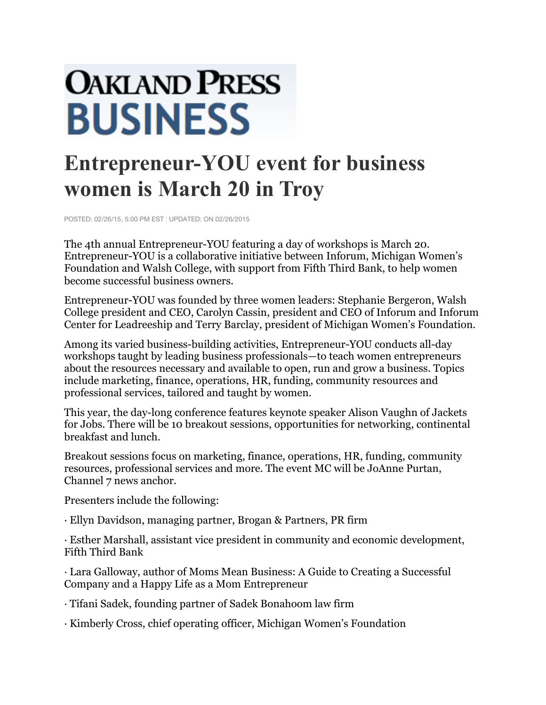## **OAKLAND PRESS BUSINESS**

## **Entrepreneur-YOU event for business women is March 20 in Troy**

POSTED: 02/26/15, 5:00 PM EST | UPDATED: ON 02/26/2015

The 4th annual Entrepreneur-YOU featuring a day of workshops is March 20. Entrepreneur-YOU is a collaborative initiative between Inforum, Michigan Women's Foundation and Walsh College, with support from Fifth Third Bank, to help women become successful business owners.

Entrepreneur-YOU was founded by three women leaders: Stephanie Bergeron, Walsh College president and CEO, Carolyn Cassin, president and CEO of Inforum and Inforum Center for Leadreeship and Terry Barclay, president of Michigan Women's Foundation.

Among its varied business-building activities, Entrepreneur-YOU conducts all-day workshops taught by leading business professionals—to teach women entrepreneurs about the resources necessary and available to open, run and grow a business. Topics include marketing, finance, operations, HR, funding, community resources and professional services, tailored and taught by women.

This year, the day-long conference features keynote speaker Alison Vaughn of Jackets for Jobs. There will be 10 breakout sessions, opportunities for networking, continental breakfast and lunch.

Breakout sessions focus on marketing, finance, operations, HR, funding, community resources, professional services and more. The event MC will be JoAnne Purtan, Channel 7 news anchor.

Presenters include the following:

· Ellyn Davidson, managing partner, Brogan & Partners, PR firm

· Esther Marshall, assistant vice president in community and economic development, Fifth Third Bank

· Lara Galloway, author of Moms Mean Business: A Guide to Creating a Successful Company and a Happy Life as a Mom Entrepreneur

· Tifani Sadek, founding partner of Sadek Bonahoom law firm

· Kimberly Cross, chief operating officer, Michigan Women's Foundation